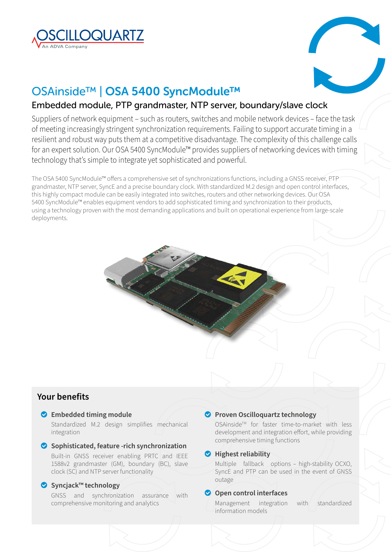



# OSAinside™ | OSA 5400 SyncModule™

# Embedded module, PTP grandmaster, NTP server, boundary/slave clock

Suppliers of network equipment – such as routers, switches and mobile network devices – face the task of meeting increasingly stringent synchronization requirements. Failing to support accurate timing in a resilient and robust way puts them at a competitive disadvantage. The complexity of this challenge calls for an expert solution. Our OSA 5400 SyncModule™ provides suppliers of networking devices with timing technology that's simple to integrate yet sophisticated and powerful.

The OSA 5400 SyncModule™ offers a comprehensive set of synchronizations functions, including a GNSS receiver, PTP grandmaster, NTP server, SyncE and a precise boundary clock. With standardized M.2 design and open control interfaces, this highly compact module can be easily integrated into switches, routers and other networking devices. Our OSA 5400 SyncModule™ enables equipment vendors to add sophisticated timing and synchronization to their products, using a technology proven with the most demanding applications and built on operational experience from large-scale deployments.

# **Your benefits**

### o **Embedded timing module**

Standardized M.2 design simplifies mechanical integration

#### o **Sophisticated, feature -rich synchronization** Built-in GNSS receiver enabling PRTC and IEEE 1588v2 grandmaster (GM), boundary (BC), slave

# clock (SC) and NTP server functionality

## o **Syncjack™ technology**

GNSS and synchronization assurance with comprehensive monitoring and analytics

# **Proven Oscilloquartz technology**

OSAinside™ for faster time-to-market with less development and integration effort, while providing comprehensive timing functions

### o **Highest reliability**

Multiple fallback options – high-stability OCXO, SyncE and PTP can be used in the event of GNSS outage

# **O** Open control interfaces

Management integration with standardized information models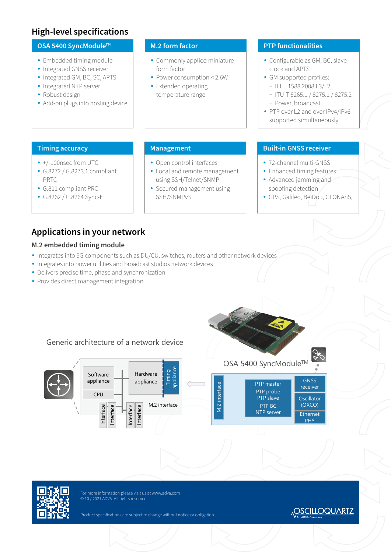# **High-level specifications**

### **OSA 5400 SyncModule™**

- Embedded timing module
- Integrated GNSS receiver
- Integrated GM, BC, SC, APTS
- Integrated NTP server
- Robust design
- Add-on plugs into hosting device

## **M.2 form factor**

- Commonly applied miniature form factor
- Power consumption < 2.6W
- Extended operating temperature range

# **PTP functionalities**

- Configurable as GM, BC, slave clock and APTS
- GM supported profiles:
	- − IEEE 1588 2008 L3/L2,
	- − ITU-T 8265.1 / 8275.1 / 8275.2 − Power, broadcast
- PTP over L2 and over IPv4/IPv6 supported simultaneously

### **Timing accuracy Management**

- +/-100nsec from UTC
- y G.8272 / G.8273.1 compliant PRTC
- y G.811 compliant PRC
- y G.8262 / G.8264 Sync-E

# • Open control interfaces

- Local and remote management using SSH/Telnet/SNMP
- Secured management using SSH/SNMPv3

## **Built-in GNSS receiver**

- 72-channel multi-GNSS
- Enhanced timing features
- Advanced jamming and spoofing detection
- GPS, Galileo, BeiDou, GLONASS,

# **Applications in your network**

# **M.2 embedded timing module**

- Integrates into 5G components such as DU/CU, switches, routers and other network devices
- Integrates into power utilities and broadcast studios network devices

Generic architecture of a network device

- Delivers precise time, phase and synchronization
- Provides direct management integration



#### appliance Timing Hardware Software appliance appliance PTP master Vl.2 interface M.2 interface PTP probe CPU PTP slave PTP BC<br>NTP server M.2 interface Interface nterface nterface Interface



For more information please visit us at www.adva.com © 10 / 2021 ADVA. All rights reserved.

Product specifications are subject to change without notice or obligation.

# **OSCILLOQUARTZ**

GNSS receiver **Oscillator** (OXCO)

Ethernet PHY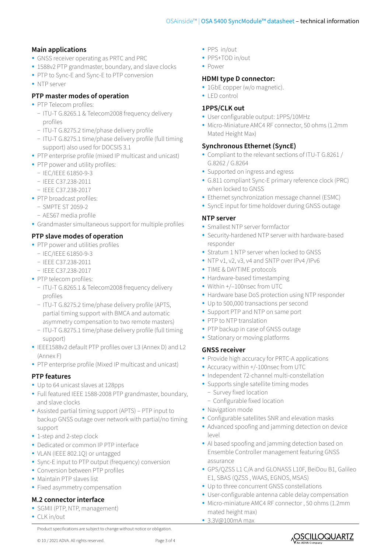# **Main applications**

- GNSS receiver operating as PRTC and PRC
- 1588v2 PTP grandmaster, boundary, and slave clocks
- PTP to Sync-E and Sync-E to PTP conversion
- NTP server

# **PTP master modes of operation**

- PTP Telecom profiles:
	- − ITU-T G.8265.1 & Telecom2008 frequency delivery profiles
	- − ITU-T G.8275.2 time/phase delivery profile
	- − ITU-T G.8275.1 time/phase delivery profile (full timing support) also used for DOCSIS 3.1
- PTP enterprise profile (mixed IP multicast and unicast)
- PTP power and utility profiles:
	- − IEC/IEEE 61850-9-3
	- − IEEE C37.238-2011
	- − IEEE C37.238-2017
- PTP broadcast profiles:
	- − SMPTE ST 2059-2
	- − AES67 media profile
- Grandmaster simultaneous support for multiple profiles

# **PTP slave modes of operation**

- PTP power and utilities profiles
	- − IEC/IEEE 61850-9-3
	- − IEEE C37.238-2011
	- − IEEE C37.238-2017
- PTP telecom profiles:
	- − ITU-T G.8265.1 & Telecom2008 frequency delivery profiles
	- − ITU-T G.8275.2 time/phase delivery profile (APTS, partial timing support with BMCA and automatic asymmetry compensation to two remote masters)
	- − ITU-T G.8275.1 time/phase delivery profile (full timing support)
- y IEEE1588v2 default PTP profiles over L3 (Annex D) and L2 (Annex F)
- PTP enterprise profile (Mixed IP multicast and unicast)

# **PTP features**

- Up to 64 unicast slaves at 128pps
- Full featured IEEE 1588-2008 PTP grandmaster, boundary, and slave clocks
- Assisted partial timing support (APTS) PTP input to backup GNSS outage over network with partial/no timing support
- 1-step and 2-step clock
- Dedicated or common IP PTP interface
- VLAN (IEEE 802.1Q) or untagged
- Sync-E input to PTP output (frequency) conversion
- Conversion between PTP profiles
- Maintain PTP slaves list
- Fixed asymmetry compensation

# **M.2 connector interface**

- SGMII (PTP, NTP, management)
- CLK in/out
	- Product specifications are subject to change without notice or obligation.
- PPS in/out
- PPS+TOD in/out
- Power

### **HDMI type D connector:**

- 1GbE copper (w/o magnetic).
- LED control

### **1PPS/CLK out**

- User configurable output: 1PPS/10MHz
- Micro-Miniature AMC4 RF connector, 50 ohms (1.2mm Mated Height Max)

# **Synchronous Ethernet (SyncE)**

- Compliant to the relevant sections of ITU-T G.8261 / G.8262 / G.8264
- Supported on ingress and egress
- G.811 compliant Sync-E primary reference clock (PRC) when locked to GNSS
- Ethernet synchronization message channel (ESMC)
- SyncE input for time holdover during GNSS outage

### **NTP server**

- Smallest NTP server formfactor
- Security-hardened NTP server with hardware-based responder
- Stratum 1 NTP server when locked to GNSS
- NTP v1, v2, v3, v4 and SNTP over IPv4 /IPv6
- TIME & DAYTIME protocols
- Hardware-based timestamping
- Within +/-100nsec from UTC
- Hardware base DoS protection using NTP responder
- Up to 500,000 transactions per second
- Support PTP and NTP on same port
- PTP to NTP translation
- PTP backup in case of GNSS outage
- Stationary or moving platforms

### **GNSS receiver**

- Provide high accuracy for PRTC-A applications
- Accuracy within +/-100nsec from UTC
- Independent 72-channel multi-constellation
- Supports single satellite timing modes
	- − Survey fixed location
	- − Configurable fixed location
- Navigation mode
- Configurable satellites SNR and elevation masks
- Advanced spoofing and jamming detection on device level
- AI based spoofing and jamming detection based on Ensemble Controller management featuring GNSS assurance
- y GPS/QZSS L1 C/A and GLONASS L10F, BeiDou B1, Galileo E1, SBAS (QZSS , WAAS, EGNOS, MSAS)
- Up to three concurrent GNSS constellations
- User-configurable antenna cable delay compensation
- Micro-miniature AMC4 RF connector , 50 ohms (1.2mm mated height max)
- $\cdot$  3.3V@100mA max